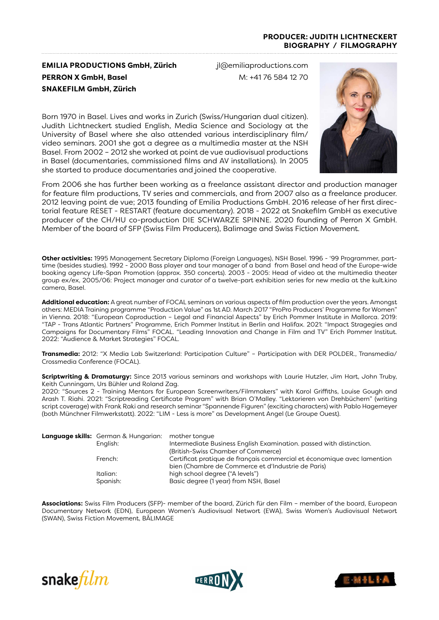### **PRODUCER: JUDITH LICHTNECKERT BIOGRAPHY / FILMOGRAPHY**

# **EMILIA PRODUCTIONS GmbH, Zürich PERRON X GmbH, Basel SNAKEFILM GmbH, Zürich**

jl@emiliaproductions.com M: +41 76 584 12 70

Born 1970 in Basel. Lives and works in Zurich (Swiss/Hungarian dual citizen). Judith Lichtneckert studied English, Media Science and Sociology at the University of Basel where she also attended various interdisciplinary film/ video seminars. 2001 she got a degree as a multimedia master at the NSH Basel. From 2002 – 2012 she worked at point de vue audiovisual productions in Basel (documentaries, commissioned films and AV installations). In 2005 she started to produce documentaries and joined the cooperative.



From 2006 she has further been working as a freelance assistant director and production manager for feature film productions, TV series and commercials, and from 2007 also as a freelance producer. 2012 leaving point de vue; 2013 founding of Emilia Productions GmbH. 2016 release of her first directorial feature RESET - RESTART (feature documentary). 2018 - 2022 at Snakefilm GmbH as executive producer of the CH/HU co-production DIE SCHWARZE SPINNE. 2020 founding of Perron X GmbH. Member of the board of SFP (Swiss Film Producers), Balimage and Swiss Fiction Movement.

**Other activities:** 1995 Management Secretary Diploma (Foreign Languages), NSH Basel. 1996 - '99 Programmer, parttime (besides studies). 1992 - 2000 Bass player and tour manager of a band from Basel and head of the Europe-wide booking agency Life-Span Promotion (approx. 350 concerts). 2003 - 2005: Head of video at the multimedia theater group ex/ex, 2005/06: Project manager and curator of a twelve-part exhibition series for new media at the kult.kino camera, Basel.

**Additional education:** A great number of FOCAL seminars on various aspects of film production over the years. Amongst others: MEDIA Training programme "Production Value" as 1st AD. March 2017 "ProPro Producers' Programme for Women" in Vienna. 2018: "European Coproduction – Legal and Financial Aspects" by Erich Pommer Institute in Mallorca. 2019: "TAP - Trans Atlantic Partners" Programme, Erich Pommer Institut in Berlin and Halifax. 2021: "Impact Stragegies and Campaigns for Documentary Films" FOCAL. "Leading Innovation and Change in Film and TV" Erich Pommer Institut. 2022: "Audience & Market Strategies" FOCAL.

**Transmedia:** 2012: "X Media Lab Switzerland: Participation Culture" – Participation with DER POLDER., Transmedia/ Crossmedia Conference (FOCAL).

**Scriptwriting & Dramaturgy:** Since 2013 various seminars and workshops with Laurie Hutzler, Jim Hart, John Truby, Keith Cunningam, Urs Bühler und Roland Zag.

2020: "Sources 2 - Training Mentors for European Screenwriters/Filmmakers" with Karol Griffiths, Louise Gough and Arash T. Riahi. 2021: "Scriptreading Certificate Program" with Brian O'Malley. "Lektorieren von Drehbüchern" (writing script coverage) with Frank Raki and research seminar "Spannende Figuren" (exciting characters) with Pablo Hagemeyer (both Münchner Filmwerkstatt). 2022: "LIM - Less is more" as Development Angel (Le Groupe Ouest).

| <b>Language skills:</b> German & Hungarian: | mother tonque                                                           |
|---------------------------------------------|-------------------------------------------------------------------------|
| English:                                    | Intermediate Business English Examination. passed with distinction.     |
|                                             | (British-Swiss Chamber of Commerce)                                     |
| French:                                     | Certificat pratique de français commercial et économique avec lamention |
|                                             | bien (Chambre de Commerce et d'Industrie de Paris)                      |
| Italian:                                    | high school degree ("A levels")                                         |
| Spanish:                                    | Basic degree (1 year) from NSH, Basel                                   |

**Associations:** Swiss Film Producers (SFP)- member of the board, Zürich für den Film – member of the board, European Documentary Network (EDN), European Women's Audiovisual Networt (EWA), Swiss Women's Audiovisual Networt (SWAN), Swiss Fiction Movement, BÂLIMAGE





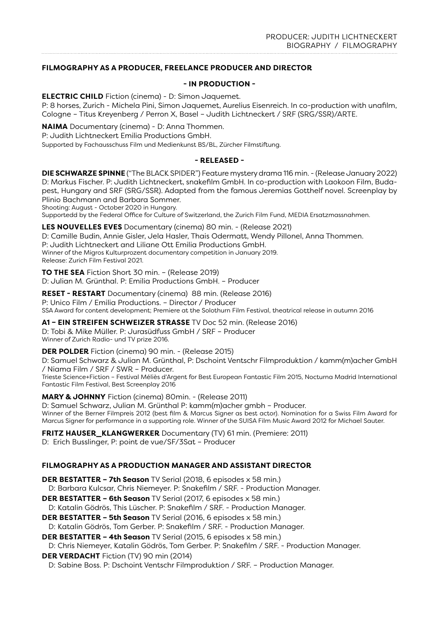## **FILMOGRAPHY AS A PRODUCER, FREELANCE PRODUCER AND DIRECTOR**

#### **- IN PRODUCTION -**

**ELECTRIC CHILD** Fiction (cinema) - D: Simon Jaquemet.

P: 8 horses, Zurich - Michela Pini, Simon Jaquemet, Aurelius Eisenreich. In co-production with unafilm, Cologne – Titus Kreyenberg / Perron X, Basel – Judith Lichtneckert / SRF (SRG/SSR)/ARTE.

**NAIMA** Documentary (cinema) - D: Anna Thommen.

P: Judith Lichtneckert Emilia Productions GmbH.

Supported by Fachausschuss Film und Medienkunst BS/BL, Zürcher Filmstiftung.

#### **- RELEASED -**

**DIE SCHWARZE SPINNE** ("The BLACK SPIDER") Feature mystery drama 116 min. - (Release January 2022) D: Markus Fischer. P: Judith Lichtneckert, snakefilm GmbH. In co-production with Laokoon Film, Budapest, Hungary and SRF (SRG/SSR). Adapted from the famous Jeremias Gotthelf novel. Screenplay by Plinio Bachmann and Barbara Sommer.

Shooting: August - October 2020 in Hungary.

Supportedd by the Federal Office for Culture of Switzerland, the Zurich Film Fund, MEDIA Ersatzmassnahmen.

**LES NOUVELLES EVES** Documentary (cinema) 80 min. - (Release 2021) D: Camille Budin, Annie Gisler, Jela Hasler, Thais Odermatt, Wendy Pillonel, Anna Thommen. P: Judith Lichtneckert and Liliane Ott Emilia Productions GmbH. Winner of the Migros Kulturprozent documentary competition in January 2019. Release: Zurich Film Festival 2021.

**TO THE SEA** Fiction Short 30 min. – (Release 2019) D: Julian M. Grünthal. P: Emilia Productions GmbH. – Producer

**RESET - RESTART** Documentary (cinema) 88 min. (Release 2016) P: Unico Film / Emilia Productions. – Director / Producer SSA Award for content development; Premiere at the Solothurn Film Festival, theatrical release in autumn 2016

**A1 – EIN STREIFEN SCHWEIZER STRASSE** TV Doc 52 min. (Release 2016) D: Tobi & Mike Müller. P: Jurasüdfuss GmbH / SRF – Producer Winner of Zurich Radio- und TV prize 2016.

**DER POLDER** Fiction (cinema) 90 min. - (Release 2015)

D: Samuel Schwarz & Julian M. Grünthal, P: Dschoint Ventschr Filmproduktion / kamm(m)acher GmbH / Niama Film / SRF / SWR – Producer.

Trieste Science+Fiction – Festival Méliès d'Argent for Best European Fantastic Film 2015, Nocturna Madrid International Fantastic Film Festival, Best Screenplay 2016

**MARY & JOHNNY** Fiction (cinema) 80min. - (Release 2011) D: Samuel Schwarz, Julian M. Grünthal P: kamm(m)acher gmbh – Producer. Winner of the Berner Filmpreis 2012 (best film & Marcus Signer as best actor). Nomination for a Swiss Film Award for Marcus Signer for performance in a supporting role. Winner of the SUISA Film Music Award 2012 for Michael Sauter.

**FRITZ HAUSER\_KLANGWERKER** Documentary (TV) 61 min. (Premiere: 2011)

D: Erich Busslinger, P: point de vue/SF/3Sat – Producer

### **FILMOGRAPHY AS A PRODUCTION MANAGER AND ASSISTANT DIRECTOR**

**DER BESTATTER - 7th Season** TV Serial (2018, 6 episodes x 58 min.) D: Barbara Kulcsar, Chris Niemeyer. P: Snakefilm / SRF. - Production Manager.

**DER BESTATTER – 6th Season** TV Serial (2017, 6 episodes x 58 min.)

D: Katalin Gödrös, This Lüscher. P: Snakefilm / SRF. - Production Manager.

**DER BESTATTER – 5th Season** TV Serial (2016, 6 episodes x 58 min.) D: Katalin Gödrös, Tom Gerber. P: Snakefilm / SRF. - Production Manager.

**DER BESTATTER – 4th Season** TV Serial (2015, 6 episodes x 58 min.)

D: Chris Niemeyer, Katalin Gödrös, Tom Gerber. P: Snakefilm / SRF. - Production Manager.

**DER VERDACHT** Fiction (TV) 90 min (2014)

D: Sabine Boss. P: Dschoint Ventschr Filmproduktion / SRF. – Production Manager.